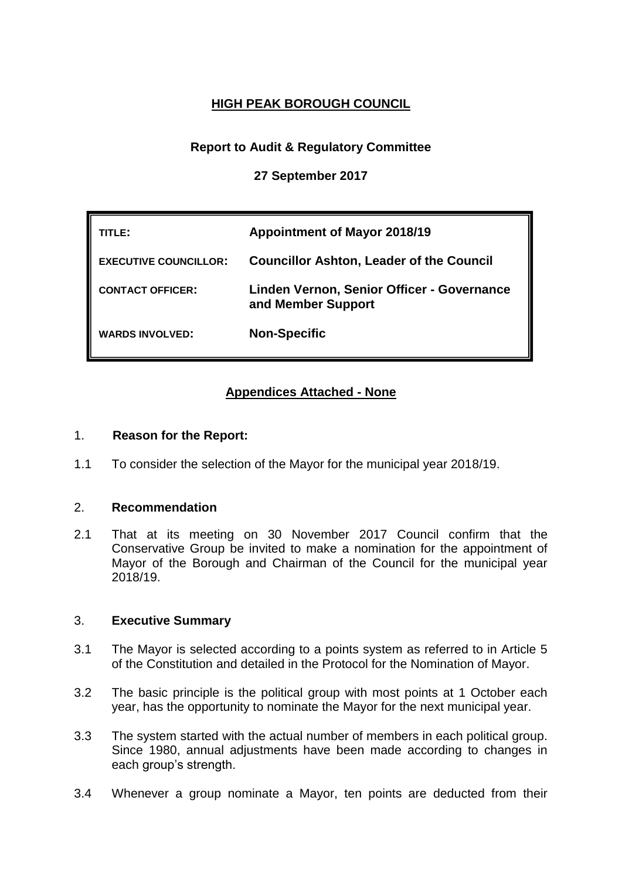# **HIGH PEAK BOROUGH COUNCIL**

## **Report to Audit & Regulatory Committee**

**27 September 2017**

| TITLE:                       | <b>Appointment of Mayor 2018/19</b>                              |  |
|------------------------------|------------------------------------------------------------------|--|
| <b>EXECUTIVE COUNCILLOR:</b> | <b>Councillor Ashton, Leader of the Council</b>                  |  |
| <b>CONTACT OFFICER:</b>      | Linden Vernon, Senior Officer - Governance<br>and Member Support |  |
| <b>WARDS INVOLVED:</b>       | <b>Non-Specific</b>                                              |  |

## **Appendices Attached - None**

### 1. **Reason for the Report:**

1.1 To consider the selection of the Mayor for the municipal year 2018/19.

#### 2. **Recommendation**

2.1 That at its meeting on 30 November 2017 Council confirm that the Conservative Group be invited to make a nomination for the appointment of Mayor of the Borough and Chairman of the Council for the municipal year 2018/19.

#### 3. **Executive Summary**

- 3.1 The Mayor is selected according to a points system as referred to in Article 5 of the Constitution and detailed in the Protocol for the Nomination of Mayor.
- 3.2 The basic principle is the political group with most points at 1 October each year, has the opportunity to nominate the Mayor for the next municipal year.
- 3.3 The system started with the actual number of members in each political group. Since 1980, annual adjustments have been made according to changes in each group's strength.
- 3.4 Whenever a group nominate a Mayor, ten points are deducted from their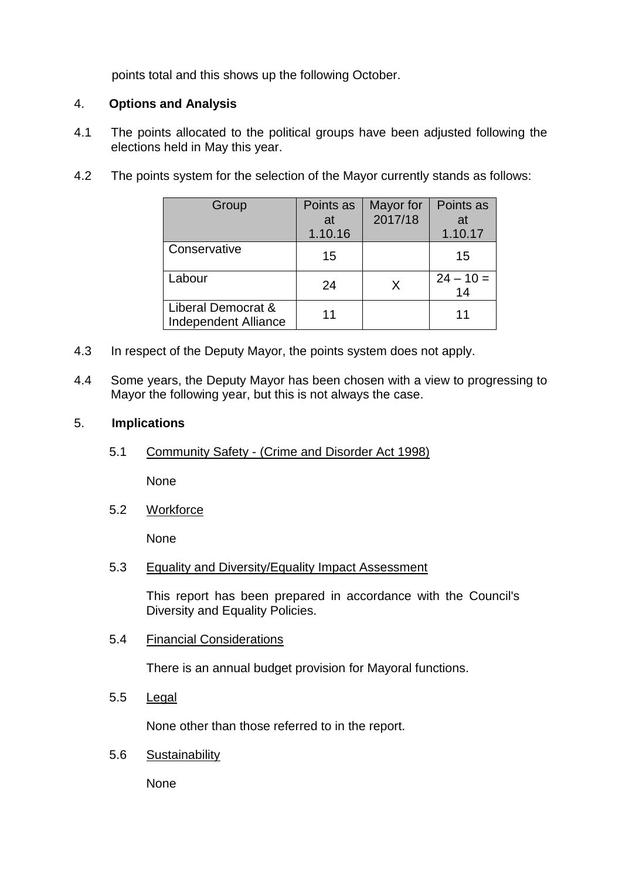points total and this shows up the following October.

### 4. **Options and Analysis**

- 4.1 The points allocated to the political groups have been adjusted following the elections held in May this year.
- 4.2 The points system for the selection of the Mayor currently stands as follows:

| Group                                             | Points as<br>at | Mayor for<br>2017/18 | Points as<br>at   |
|---------------------------------------------------|-----------------|----------------------|-------------------|
|                                                   | 1.10.16         |                      | 1.10.17           |
| Conservative                                      | 15              |                      | 15                |
| _abour                                            | 24              | X                    | $24 - 10 =$<br>14 |
| Liberal Democrat &<br><b>Independent Alliance</b> | 11              |                      | 11                |

- 4.3 In respect of the Deputy Mayor, the points system does not apply.
- 4.4 Some years, the Deputy Mayor has been chosen with a view to progressing to Mayor the following year, but this is not always the case.

#### 5. **Implications**

5.1 Community Safety - (Crime and Disorder Act 1998)

None

5.2 Workforce

None

5.3 Equality and Diversity/Equality Impact Assessment

This report has been prepared in accordance with the Council's Diversity and Equality Policies.

5.4 Financial Considerations

There is an annual budget provision for Mayoral functions.

5.5 Legal

None other than those referred to in the report.

5.6 Sustainability

None